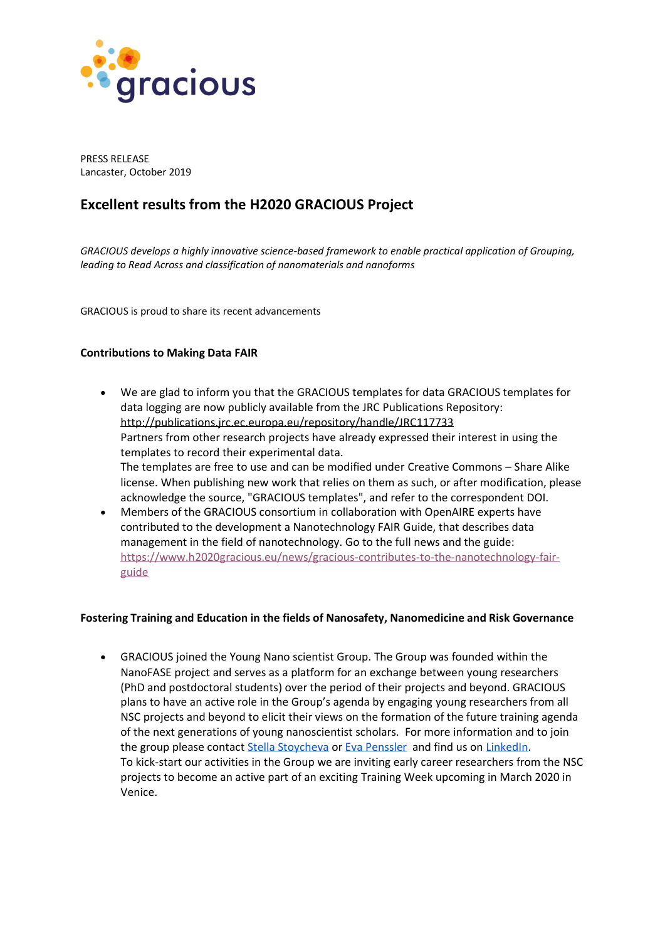

PRESS RELEASE Lancaster, October 2019

# **Excellent results from the H2020 GRACIOUS Project**

*GRACIOUS develops a highly innovative science-based framework to enable practical application of Grouping, leading to Read Across and classification of nanomaterials and nanoforms*

GRACIOUS is proud to share its recent advancements

## **Contributions to Making Data FAIR**

- We are glad to inform you that the GRACIOUS templates for data GRACIOUS templates for data logging are now publicly available from the JRC Publications Repository: <http://publications.jrc.ec.europa.eu/repository/handle/JRC117733> Partners from other research projects have already expressed their interest in using the templates to record their experimental data. The templates are free to use and can be modified under Creative Commons – Share Alike license. When publishing new work that relies on them as such, or after modification, please acknowledge the source, "GRACIOUS templates", and refer to the correspondent DOI. • Members of the GRACIOUS consortium in collaboration with OpenAIRE experts have
- contributed to the development a Nanotechnology FAIR Guide, that describes data management in the field of nanotechnology. Go to the full news and the guide: [https://www.h2020gracious.eu/news/gracious-contributes-to-the-nanotechnology-fair](https://www.h2020gracious.eu/news/gracious-contributes-to-the-nanotechnology-fair-guide)[guide](https://www.h2020gracious.eu/news/gracious-contributes-to-the-nanotechnology-fair-guide)

## **Fostering Training and Education in the fields of Nanosafety, Nanomedicine and Risk Governance**

• GRACIOUS joined the Young Nano scientist Group. The Group was founded within the NanoFASE project and serves as a platform for an exchange between young researchers (PhD and postdoctoral students) over the period of their projects and beyond. GRACIOUS plans to have an active role in the Group's agenda by engaging young researchers from all NSC projects and beyond to elicit their views on the formation of the future training agenda of the next generations of young nanoscientist scholars. For more information and to join the group please contac[t Stella Stoycheva](mailto:s.stoycheva@yordasgroup.com) or [Eva Penssler](mailto:e.penssler@yordasgroup.com) and find us on [LinkedIn.](https://www.linkedin.com/groups/8422323/) To kick-start our activities in the Group we are inviting early career researchers from the NSC projects to become an active part of an exciting Training Week upcoming in March 2020 in Venice.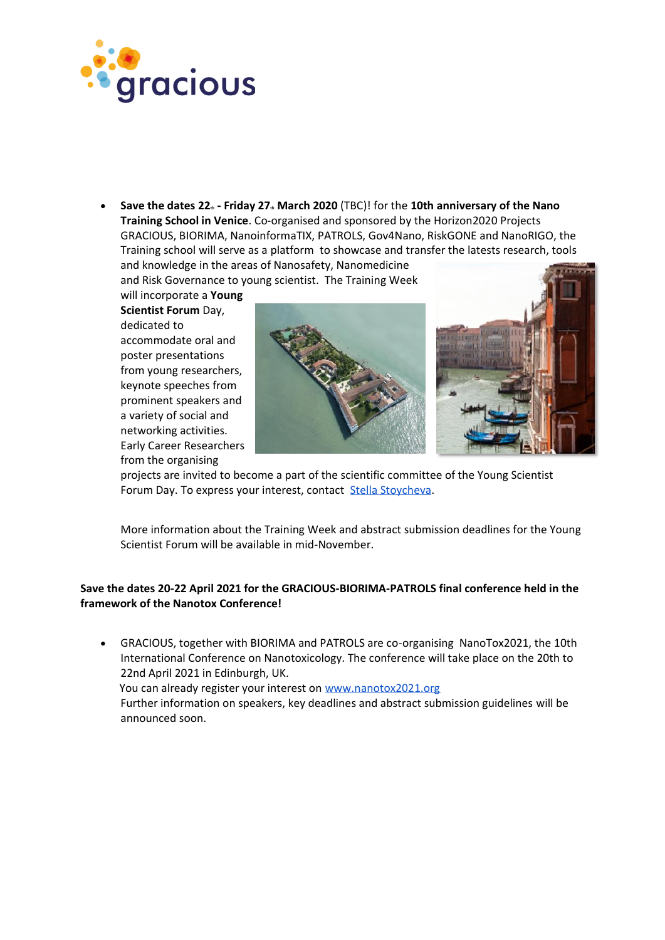

• **Save the dates 22th - Friday 27th March 2020** (TBC)! for the **10th anniversary of the Nano Training School in Venice**. Co-organised and sponsored by the Horizon2020 Projects GRACIOUS, BIORIMA, NanoinformaTIX, PATROLS, Gov4Nano, RiskGONE and NanoRIGO, the Training school will serve as a platform to showcase and transfer the latests research, tools and knowledge in the areas of Nanosafety, Nanomedicine

and Risk Governance to young scientist. The Training Week

will incorporate a **Young Scientist Forum** Day, dedicated to accommodate oral and poster presentations from young researchers, keynote speeches from prominent speakers and a variety of social and networking activities. Early Career Researchers from the organising



projects are invited to become a part of the scientific committee of the Young Scientist Forum Day. To express your interest, contact [Stella Stoycheva.](mailto:s.stoycheva@yordasgroup.com)

More information about the Training Week and abstract submission deadlines for the Young Scientist Forum will be available in mid-November.

# **Save the dates 20-22 April 2021 for the GRACIOUS-BIORIMA-PATROLS final conference held in the framework of the Nanotox Conference!**

• GRACIOUS, together with BIORIMA and PATROLS are co-organising NanoTox2021, the 10th International Conference on Nanotoxicology. The conference will take place on the 20th to 22nd April 2021 in Edinburgh, UK. You can already register your interest on [www.nanotox2021.org](http://www.nanotox2021.org/) Further information on speakers, key deadlines and abstract submission guidelines will be announced soon.